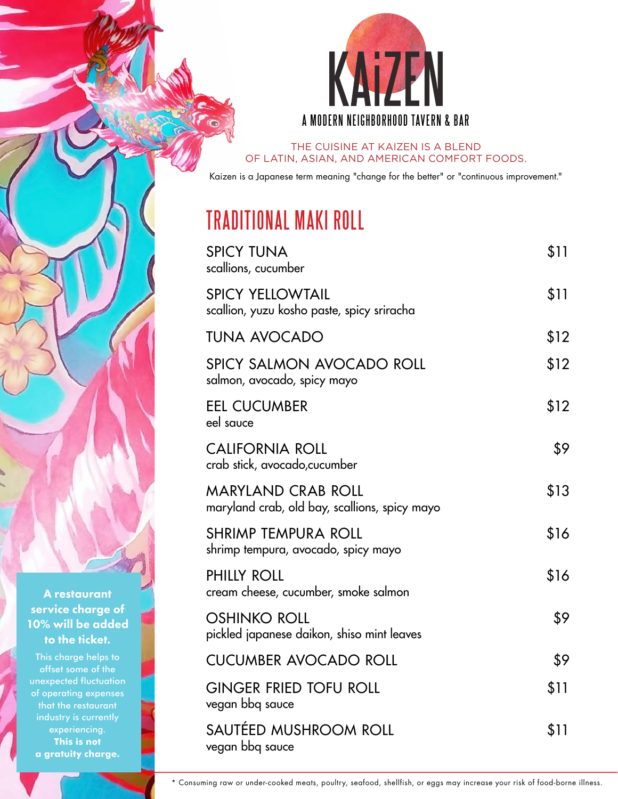

THE CUISINE AT KAIZEN IS A BLEND OF LATIN, ASIAN, AND AMERICAN COMFORT FOODS.

Kaizen is a Japanese term meaning "change for the better" or "continuous improvement."

#### **TRADITIONAL MAKI ROLL**

| <b>SPICY TUNA</b><br>scallions, cucumber                                   | \$11 |
|----------------------------------------------------------------------------|------|
| <b>SPICY YELLOWTAIL</b><br>scallion, yuzu kosho paste, spicy sriracha      | \$11 |
| <b>TUNA AVOCADO</b>                                                        | \$12 |
| SPICY SALMON AVOCADO ROLL<br>salmon, avocado, spicy mayo                   | \$12 |
| <b>EEL CUCUMBER</b><br>eel sauce                                           | \$12 |
| <b>CALIFORNIA ROLL</b><br>crab stick, avocado, cucumber                    | \$9  |
| <b>MARYLAND CRAB ROLL</b><br>maryland crab, old bay, scallions, spicy mayo | \$13 |
| <b>SHRIMP TEMPURA ROLL</b><br>shrimp tempura, avocado, spicy mayo          | \$16 |
| <b>PHILLY ROLL</b><br>cream cheese, cucumber, smoke salmon                 | \$16 |
| <b>OSHINKO ROLL</b><br>pickled japanese daikon, shiso mint leaves          | \$9  |
| <b>CUCUMBER AVOCADO ROLL</b>                                               | \$9  |
| <b>GINGER FRIED TOFU ROLL</b><br>vegan bbq sauce                           | \$11 |
| SAUTÉED MUSHROOM ROLL<br>vegan bbg sauce                                   | \$11 |

A restaurant service charge of 10% will be added to the ticket.

This charge helps to offset some of the unexpected fluctuation of operating expenses experiencing. **This is not a gratuity charge.**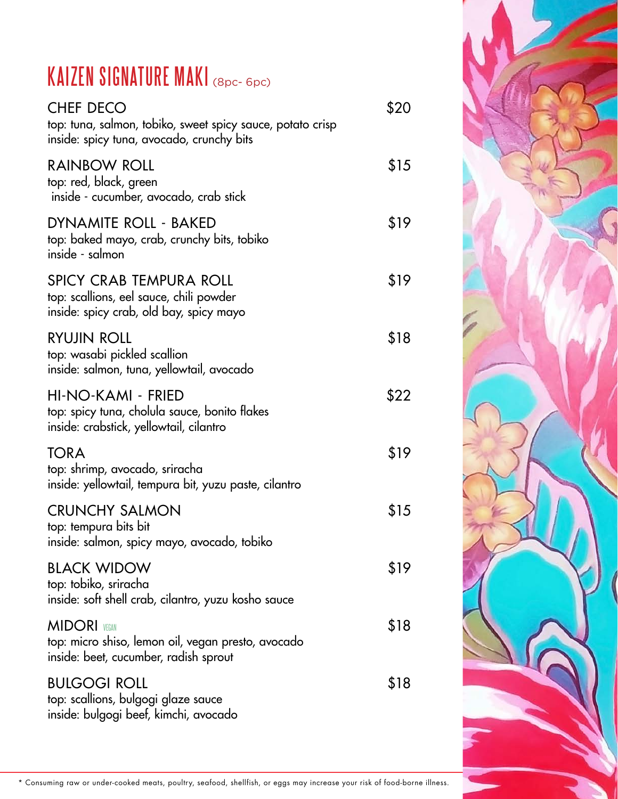## KAIZEN SIGNATURE MAKI (8pc- 6pc)

| <b>CHEF DECO</b><br>top: tuna, salmon, tobiko, sweet spicy sauce, potato crisp<br>inside: spicy tuna, avocado, crunchy bits | \$20 |
|-----------------------------------------------------------------------------------------------------------------------------|------|
| <b>RAINBOW ROLL</b><br>top: red, black, green<br>inside - cucumber, avocado, crab stick                                     | \$15 |
| DYNAMITE ROLL - BAKED<br>top: baked mayo, crab, crunchy bits, tobiko<br>inside - salmon                                     | \$19 |
| <b>SPICY CRAB TEMPURA ROLL</b><br>top: scallions, eel sauce, chili powder<br>inside: spicy crab, old bay, spicy mayo        | \$19 |
| <b>RYUJIN ROLL</b><br>top: wasabi pickled scallion<br>inside: salmon, tuna, yellowtail, avocado                             | \$18 |
| HI-NO-KAMI - FRIED<br>top: spicy tuna, cholula sauce, bonito flakes<br>inside: crabstick, yellowtail, cilantro              | \$22 |
| <b>TORA</b><br>top: shrimp, avocado, sriracha<br>inside: yellowtail, tempura bit, yuzu paste, cilantro                      | \$19 |
| <b>CRUNCHY SALMON</b><br>top: tempura bits bit<br>inside: salmon, spicy mayo, avocado, tobiko                               | \$15 |
| <b>BLACK WIDOW</b><br>top: tobiko, sriracha<br>inside: soft shell crab, cilantro, yuzu kosho sauce                          | \$19 |
| <b>MIDORI</b> VEGAN<br>top: micro shiso, lemon oil, vegan presto, avocado<br>inside: beet, cucumber, radish sprout          | \$18 |
| <b>BULGOGI ROLL</b><br>top: scallions, bulgogi glaze sauce<br>inside: bulgogi beef, kimchi, avocado                         | \$18 |
|                                                                                                                             |      |

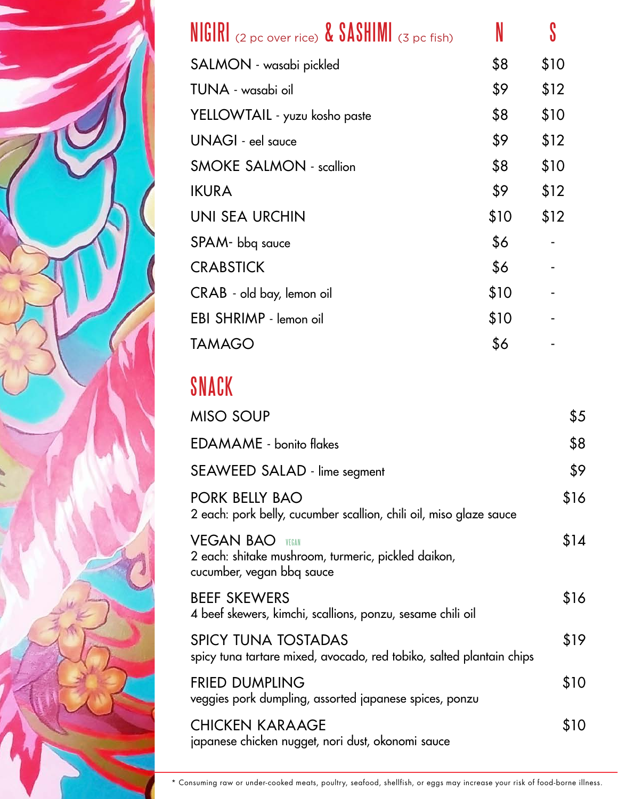

| <b>NIGIRI</b> (2 pc over rice) <b>&amp; SASHIMI</b> (3 pc fish) | N    |      |
|-----------------------------------------------------------------|------|------|
| SALMON - wasabi pickled                                         | \$8  | \$10 |
| TUNA - wasabi oil                                               | \$9  | \$12 |
| YELLOWTAIL - yuzu kosho paste                                   | \$8  | \$10 |
| UNAGI - eel sauce                                               | \$9  | \$12 |
| <b>SMOKE SALMON - scallion</b>                                  | \$8  | \$10 |
| <b>IKURA</b>                                                    | \$9  | \$12 |
| UNI SEA URCHIN                                                  | \$10 | \$12 |
| SPAM- bbq sauce                                                 | \$6  |      |
| <b>CRABSTICK</b>                                                | \$6  |      |
| CRAB - old bay, lemon oil                                       | \$10 |      |
| EBI SHRIMP - lemon oil                                          | \$10 |      |
| TAMAGO                                                          | \$6  |      |

## SNACK

| <b>MISO SOUP</b>                                                                                           | \$5  |
|------------------------------------------------------------------------------------------------------------|------|
| <b>EDAMAME</b> - bonito flakes                                                                             | \$8  |
| SEAWEED SALAD - lime segment                                                                               | \$9  |
| PORK BELLY BAO<br>2 each: pork belly, cucumber scallion, chili oil, miso glaze sauce                       | \$16 |
| <b>VEGAN BAO</b> vegan<br>2 each: shitake mushroom, turmeric, pickled daikon,<br>cucumber, vegan bbq sauce | \$14 |
| <b>BEEF SKEWERS</b><br>4 beef skewers, kimchi, scallions, ponzu, sesame chili oil                          | \$16 |
| <b>SPICY TUNA TOSTADAS</b><br>spicy tuna tartare mixed, avocado, red tobiko, salted plantain chips         | \$19 |
| <b>FRIED DUMPLING</b><br>veggies pork dumpling, assorted japanese spices, ponzu                            | \$10 |
| <b>CHICKEN KARAAGE</b><br>japanese chicken nugget, nori dust, okonomi sauce                                | \$10 |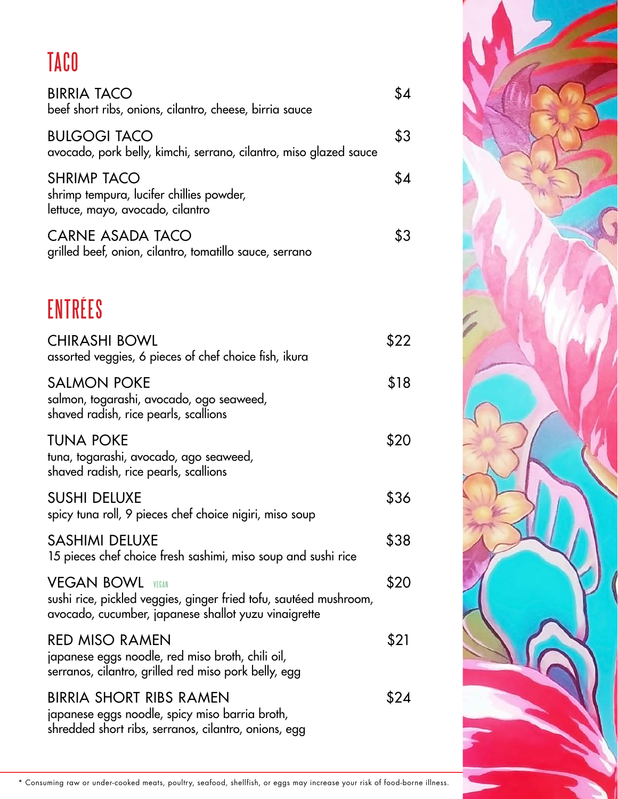# TACO

| <b>BIRRIA TACO</b><br>beef short ribs, onions, cilantro, cheese, birria sauce                                                                           | \$4  |
|---------------------------------------------------------------------------------------------------------------------------------------------------------|------|
| <b>BULGOGI TACO</b><br>avocado, pork belly, kimchi, serrano, cilantro, miso glazed sauce                                                                | \$3  |
| <b>SHRIMP TACO</b><br>shrimp tempura, lucifer chillies powder,<br>lettuce, mayo, avocado, cilantro                                                      | \$4  |
| CARNE ASADA TACO<br>grilled beef, onion, cilantro, tomatillo sauce, serrano                                                                             | \$3  |
| ENTRÉES                                                                                                                                                 |      |
| <b>CHIRASHI BOWL</b><br>assorted veggies, 6 pieces of chef choice fish, ikura                                                                           | \$22 |
| <b>SALMON POKE</b><br>salmon, togarashi, avocado, ogo seaweed,<br>shaved radish, rice pearls, scallions                                                 | \$18 |
| <b>TUNA POKE</b><br>tuna, togarashi, avocado, ago seaweed,<br>shaved radish, rice pearls, scallions                                                     | \$20 |
| <b>SUSHI DELUXE</b><br>spicy tuna roll, 9 pieces chef choice nigiri, miso soup                                                                          | \$36 |
| <b>SASHIMI DELUXE</b><br>15 pieces chef choice fresh sashimi, miso soup and sushi rice                                                                  | \$38 |
| <b>VEGAN BOWL</b><br>VFGAN<br>sushi rice, pickled veggies, ginger fried tofu, sautéed mushroom,<br>avocado, cucumber, japanese shallot yuzu vinaigrette | \$20 |
| <b>RED MISO RAMEN</b><br>japanese eggs noodle, red miso broth, chili oil,<br>serranos, cilantro, grilled red miso pork belly, egg                       | \$21 |
| <b>BIRRIA SHORT RIBS RAMEN</b><br>japanese eggs noodle, spicy miso barria broth,<br>shredded short ribs, serranos, cilantro, onions, egg                | \$24 |
|                                                                                                                                                         |      |

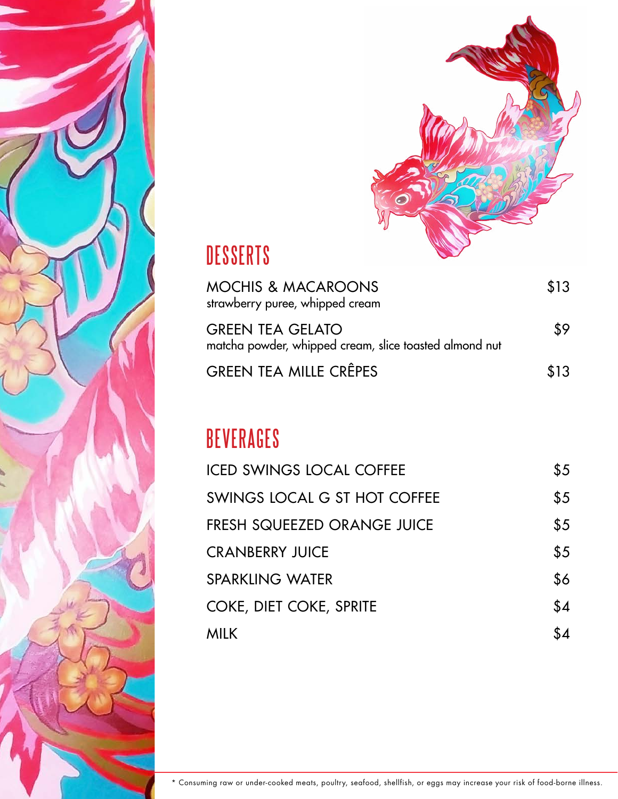



### **DESSERTS**

| MOCHIS & MACAROONS<br>strawberry puree, whipped cream                      | \$13 |
|----------------------------------------------------------------------------|------|
| GREEN TEA GELATO<br>matcha powder, whipped cream, slice toasted almond nut | \$9  |
| GREEN TEA MILLE CRÊPES                                                     | \$13 |

#### **BEVERAGES**

| <b>ICED SWINGS LOCAL COFFEE</b>    | \$5 |
|------------------------------------|-----|
| SWINGS LOCAL G ST HOT COFFEE       | \$5 |
| <b>FRESH SQUEEZED ORANGE JUICE</b> | \$5 |
| <b>CRANBERRY JUICE</b>             | \$5 |
| <b>SPARKLING WATER</b>             | \$6 |
| COKE, DIET COKE, SPRITE            | \$4 |
| <b>MILK</b>                        | \$4 |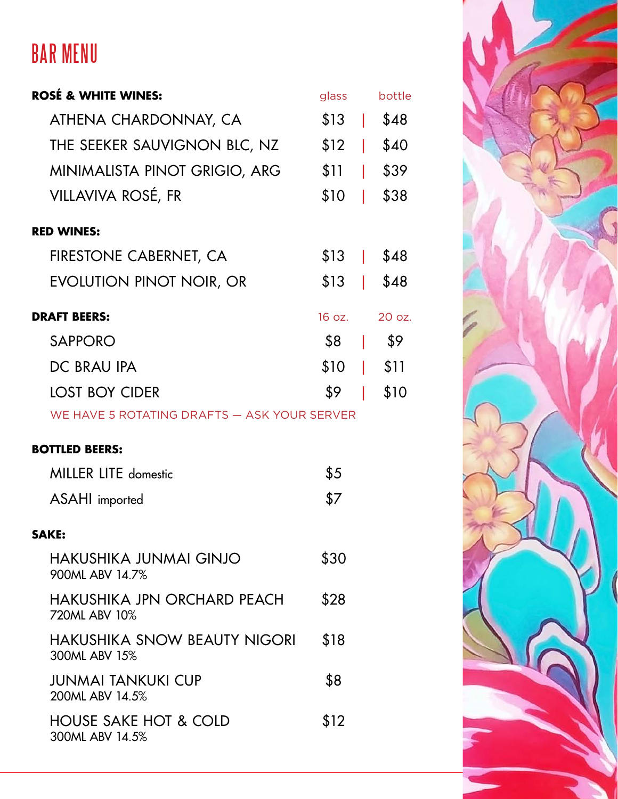## BAR MENU

| <b>ROSÉ &amp; WHITE WINES:</b>                      | glass  | bottle |
|-----------------------------------------------------|--------|--------|
| ATHENA CHARDONNAY, CA                               | $$13$  | \$48   |
| THE SEEKER SAUVIGNON BLC, NZ                        | $$12$  | \$40   |
| MINIMALISTA PINOT GRIGIO, ARG                       | $$11$  | \$39   |
| VILLAVIVA ROSÉ, FR                                  | \$10   | \$38   |
| <b>RED WINES:</b>                                   |        |        |
| FIRESTONE CABERNET, CA                              | $$13$  | \$48   |
| <b>EVOLUTION PINOT NOIR, OR</b>                     | $$13$  | \$48   |
| <b>DRAFT BEERS:</b>                                 | 16 oz. | 20 oz. |
| <b>SAPPORO</b>                                      | \$8    | \$9    |
| DC BRAU IPA                                         | \$10   | \$11   |
| <b>LOST BOY CIDER</b>                               | \$9    | \$10   |
| WE HAVE 5 ROTATING DRAFTS - ASK YOUR SERVER         |        |        |
| <b>BOTTLED BEERS:</b>                               |        |        |
| <b>MILLER LITE domestic</b>                         | \$5    |        |
| <b>ASAHI</b> imported                               | \$7    |        |
| SAKE:                                               |        |        |
| <b>HAKUSHIKA JUNMAI GINJO</b><br>900ML ABV 14.7%    | \$30   |        |
| HAKUSHIKA JPN ORCHARD PEACH<br>720ML ABV 10%        | \$28   |        |
| HAKUSHIKA SNOW BEAUTY NIGORI<br>300ML ABV 15%       | \$18   |        |
| JUNMAI TANKUKI CUP<br>200ML ABV 14.5%               | \$8    |        |
| <b>HOUSE SAKE HOT &amp; COLD</b><br>300ML ABV 14.5% | \$12   |        |

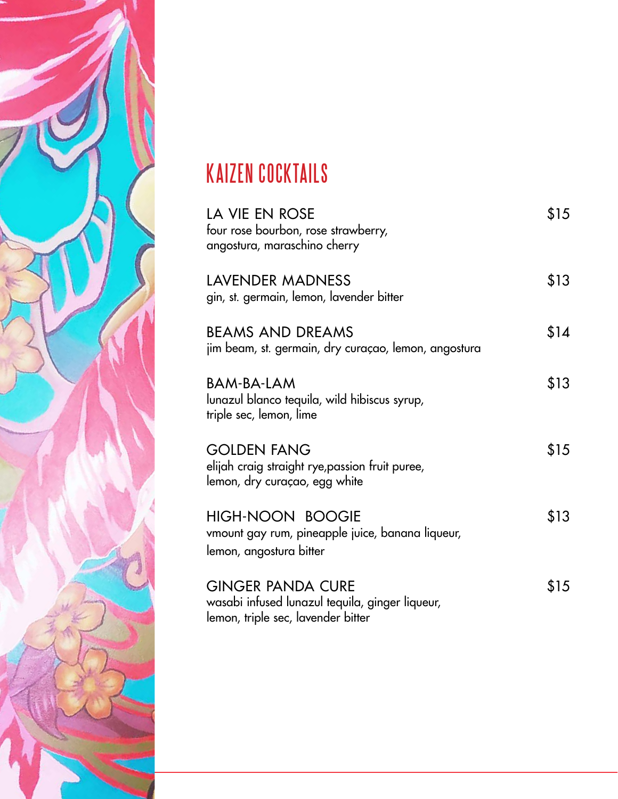

## KAIZEN COCKTAILS

| LA VIE EN ROSE<br>four rose bourbon, rose strawberry,<br>angostura, maraschino cherry                             | \$15 |
|-------------------------------------------------------------------------------------------------------------------|------|
| LAVENDER MADNESS<br>gin, st. germain, lemon, lavender bitter                                                      | \$13 |
| <b>BEAMS AND DREAMS</b><br>jim beam, st. germain, dry curaçao, lemon, angostura                                   | \$14 |
| BAM-BA-LAM<br>lunazul blanco tequila, wild hibiscus syrup,<br>triple sec, lemon, lime                             | \$13 |
| <b>GOLDEN FANG</b><br>elijah craig straight rye, passion fruit puree,<br>lemon, dry curaçao, egg white            | \$15 |
| <b>HIGH-NOON BOOGIE</b><br>vmount gay rum, pineapple juice, banana liqueur,<br>lemon, angostura bitter            | \$13 |
| <b>GINGER PANDA CURE</b><br>wasabi infused lunazul tequila, ginger liqueur,<br>lemon, triple sec, lavender bitter | \$15 |